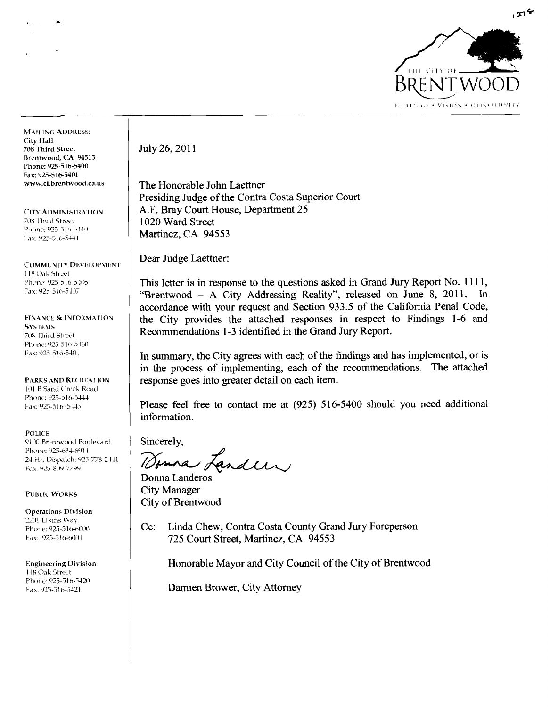

**MAILING ADDRESS: City Hall 708 Third Street Brentwood, CA 94513 Phone: 925-516-5400 Fax: 925-516-5401 www.ci.brentwood.ca.us** 

--

**CITY ADMINISTRATION** 708 Third Street Phone: 925-516-5440 Fax: 925-516-5441

**COMMUNITY DEVELOPMENT** 118 Oak Street Phone: 925-516-5405 Fax: 925-516-5407

**FINANCE & INFORMATION SYSTEMS** 708 Third Street Phone: 925-516-5460 Fax: 925-516-5401

**PARKS AND RECREATION** 101 B Sand Creek Road Phone: 925-516-5444 Fax: 925-516-5445

**POLICE**  9100 Brentwood Boulevard Phone: 925-634-6911 24 Hr. Dispatch: 925-778-2441 **tax:** ~25-8i19-779Y

**PUBLIC WORKS** 

**Operations Division** 2201 Elkins Way Phone: 925-516-6000 Fax: 925-516-6001

**Engineering Division**  118 Oak Street Phone: 925-516-5420 Fax: 925-516-5421

July 26, 2011

The Honorable John Laettner Presiding Judge of the Contra Costa Superior Court A.F. Bray Court House, Department 25 1020 Ward Street Martinez, CA 94553

Dear Judge Laettner:

This letter is in response to the questions asked in Grand Jury Report No. 1111, "Brentwood  $-$  A City Addressing Reality", released on June 8, 2011. In accordance with your request and Section 933.5 of the California Penal Code, the City provides the attached responses in respect to Findings 1-6 and Recommendations 1-3 identified in the Grand Jury Report.

In summary, the City agrees with each of the findings and has implemented, or is in the process of implementing, each of the recommendations. The attached response goes into greater detail on each item.

Please feel free to contact me at (925) 516-5400 should you need additional information.

Sincerely,

Donna Lander

Donna Landeros City Manager City of Brentwood

Cc: Linda Chew, Contra Costa County Grand Jury Foreperson 725 Court Street, Martinez, CA 94553

Honorable Mayor and City Council of the City of Brentwood

Damien Brower, City Attorney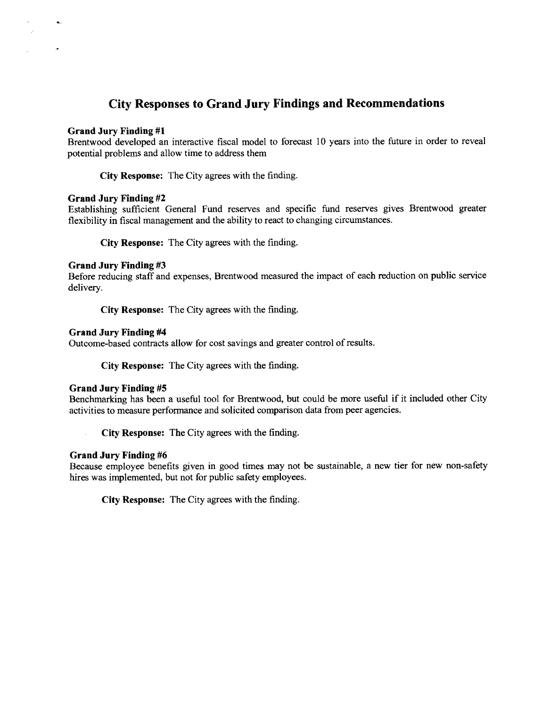# **City Responses to Grand Jury Findings and Recommendations**

# **Grand Jury Finding #1**

Brentwood developed an interactive fiscal model to forecast 10 years into the future in order to reveal potential problems and allow time to address them

**City Response:** The City agrees with the finding.

### **Grand Jury Finding #2**

Establishing sufficient General Fund reserves and specific fund reserves gives Brentwood greater flexibility in fiscal management and the ability to react to changing circumstances.

**City Response:** The City agrees with the finding.

### **Grand Jury Finding #3**

Before reducing staff and expenses, Brentwood measured the impact of each reduction on public service delivery.

**City Response:** The City agrees with the finding.

# **Grand Jury Finding #4**

Outcome-based contracts allow for cost savings and greater control of results.

**City Response:** The City agrees with the finding.

### **Grand Jury Finding #5**

Benchmarking has been a useful tool for Brentwood, but could be more useful if it included other City activities to measure performance and solicited comparison data from peer agencies.

**City Response:** The City agrees with the finding.

### **Grand Jury Finding #6**

Because employee benefits given in good times may not be sustainable, a new tier for new non-safety hires was implemented, but not for public safety employees.

**City Response:** The City agrees with the finding.